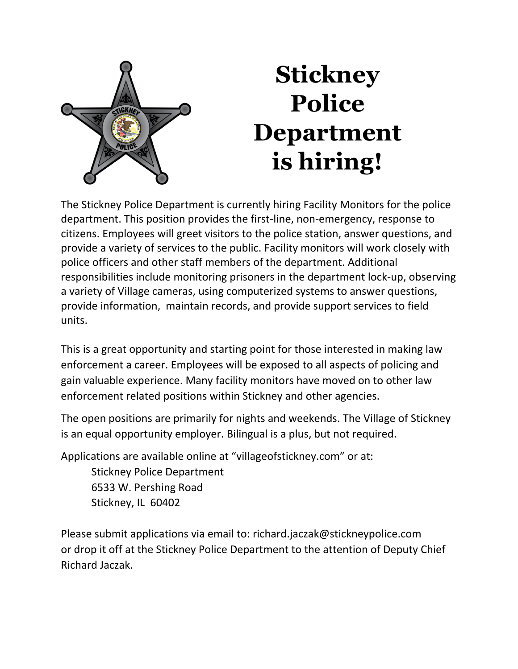

## **Stickney Police Department is hiring!**

The Stickney Police Department is currently hiring Facility Monitors for the police department. This position provides the first-line, non-emergency, response to citizens. Employees will greet visitors to the police station, answer questions, and provide a variety of services to the public. Facility monitors will work closely with police officers and other staff members of the department. Additional responsibilities include monitoring prisoners in the department lock-up, observing a variety of Village cameras, using computerized systems to answer questions, provide information, maintain records, and provide support services to field units.

This is a great opportunity and starting point for those interested in making law enforcement a career. Employees will be exposed to all aspects of policing and gain valuable experience. Many facility monitors have moved on to other law enforcement related positions within Stickney and other agencies.

The open positions are primarily for nights and weekends. The Village of Stickney is an equal opportunity employer. Bilingual is a plus, but not required.

Applications are available online at "villageofstickney.com" or at:

Stickney Police Department 6533 W. Pershing Road Stickney, IL 60402

Please submit applications via email to: [richard.jaczak@stickneypolice.com](mailto:richard.jaczak@stickneypolice.com) or drop it off at the Stickney Police Department to the attention of Deputy Chief Richard Jaczak.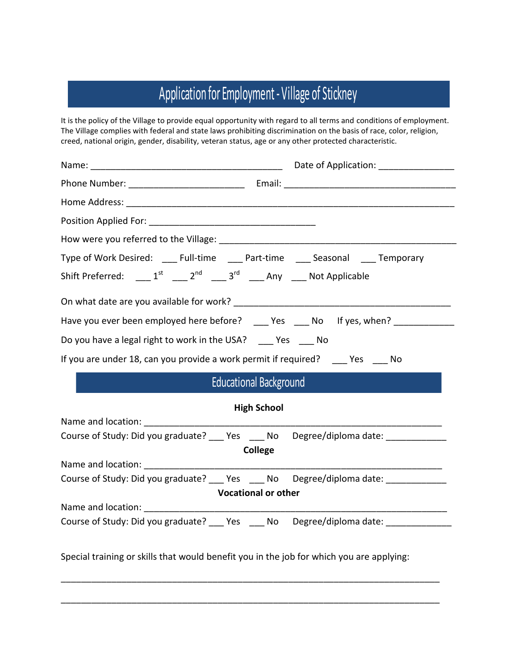## Application for Employment - Village of Stickney

It is the policy of the Village to provide equal opportunity with regard to all terms and conditions of employment. The Village complies with federal and state laws prohibiting discrimination on the basis of race, color, religion, creed, national origin, gender, disability, veteran status, age or any other protected characteristic.

| Type of Work Desired: ____ Full-time ____ Part-time ____ Seasonal ____ Temporary         |  |  |
|------------------------------------------------------------------------------------------|--|--|
| Shift Preferred: ____ $1^{st}$ ____ $2^{nd}$ ____ $3^{rd}$ ____ Any ____ Not Applicable  |  |  |
|                                                                                          |  |  |
| Have you ever been employed here before? ____ Yes ____ No lf yes, when? _________        |  |  |
| Do you have a legal right to work in the USA? __ Yes __ No                               |  |  |
| If you are under 18, can you provide a work permit if required? _____ Yes _____ No       |  |  |
| Educational Background                                                                   |  |  |
| <b>High School</b>                                                                       |  |  |
| Name and location: Name and location:                                                    |  |  |
| Course of Study: Did you graduate? ____ Yes ____ No Degree/diploma date: ____________    |  |  |
| <b>College</b>                                                                           |  |  |
|                                                                                          |  |  |
| Course of Study: Did you graduate? ____ Yes ____ No Degree/diploma date: ________        |  |  |
| <b>Vocational or other</b>                                                               |  |  |
| Name and location: <u>______________________</u>                                         |  |  |
| Course of Study: Did you graduate? ____ Yes ____ No Degree/diploma date: ____________    |  |  |
| Special training or skills that would benefit you in the job for which you are applying: |  |  |

\_\_\_\_\_\_\_\_\_\_\_\_\_\_\_\_\_\_\_\_\_\_\_\_\_\_\_\_\_\_\_\_\_\_\_\_\_\_\_\_\_\_\_\_\_\_\_\_\_\_\_\_\_\_\_\_\_\_\_\_\_\_\_\_\_\_\_\_\_\_\_\_\_\_\_

\_\_\_\_\_\_\_\_\_\_\_\_\_\_\_\_\_\_\_\_\_\_\_\_\_\_\_\_\_\_\_\_\_\_\_\_\_\_\_\_\_\_\_\_\_\_\_\_\_\_\_\_\_\_\_\_\_\_\_\_\_\_\_\_\_\_\_\_\_\_\_\_\_\_\_